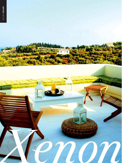